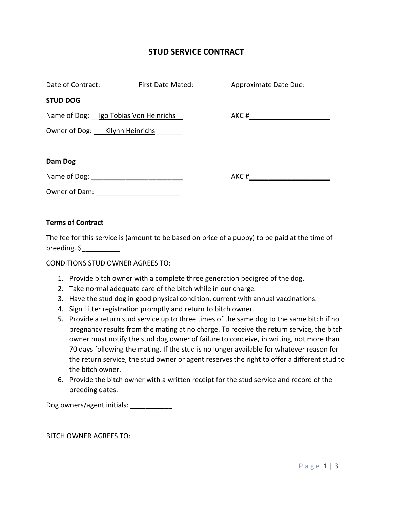## **STUD SERVICE CONTRACT**

| Date of Contract:                     | First Date Mated: | Approximate Date Due: |
|---------------------------------------|-------------------|-----------------------|
| <b>STUD DOG</b>                       |                   |                       |
| Name of Dog: Igo Tobias Von Heinrichs |                   |                       |
| Owner of Dog: Kilynn Heinrichs        |                   |                       |
|                                       |                   |                       |
| Dam Dog                               |                   |                       |
|                                       |                   | $AKC$ #               |
| Owner of Dam:                         |                   |                       |

## **Terms of Contract**

The fee for this service is (amount to be based on price of a puppy) to be paid at the time of breeding. \$\_\_\_\_\_\_\_\_\_\_

CONDITIONS STUD OWNER AGREES TO:

- 1. Provide bitch owner with a complete three generation pedigree of the dog.
- 2. Take normal adequate care of the bitch while in our charge.
- 3. Have the stud dog in good physical condition, current with annual vaccinations.
- 4. Sign Litter registration promptly and return to bitch owner.
- 5. Provide a return stud service up to three times of the same dog to the same bitch if no pregnancy results from the mating at no charge. To receive the return service, the bitch owner must notify the stud dog owner of failure to conceive, in writing, not more than 70 days following the mating. If the stud is no longer available for whatever reason for the return service, the stud owner or agent reserves the right to offer a different stud to the bitch owner.
- 6. Provide the bitch owner with a written receipt for the stud service and record of the breeding dates.

Dog owners/agent initials: \_\_\_\_\_\_\_\_\_\_\_\_

BITCH OWNER AGREES TO: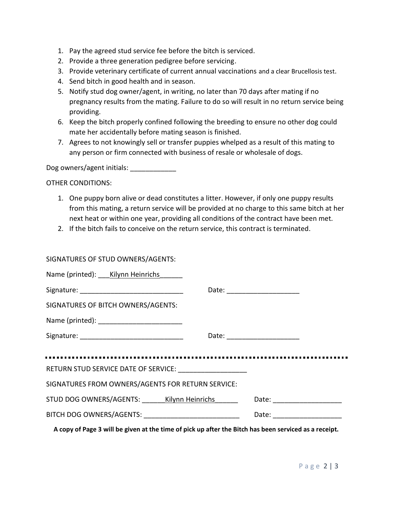- 1. Pay the agreed stud service fee before the bitch is serviced.
- 2. Provide a three generation pedigree before servicing.
- 3. Provide veterinary certificate of current annual vaccinations and a clear Brucellosis test.
- 4. Send bitch in good health and in season.
- 5. Notify stud dog owner/agent, in writing, no later than 70 days after mating if no pregnancy results from the mating. Failure to do so will result in no return service being providing.
- 6. Keep the bitch properly confined following the breeding to ensure no other dog could mate her accidentally before mating season is finished.
- 7. Agrees to not knowingly sell or transfer puppies whelped as a result of this mating to any person or firm connected with business of resale or wholesale of dogs.

Dog owners/agent initials: \_\_\_\_\_\_\_\_\_\_\_\_\_\_

OTHER CONDITIONS:

- 1. One puppy born alive or dead constitutes a litter. However, if only one puppy results from this mating, a return service will be provided at no charge to this same bitch at her next heat or within one year, providing all conditions of the contract have been met.
- 2. If the bitch fails to conceive on the return service, this contract is terminated.

| Name (printed): Kilynn Heinrichs                         |  |                                |  |  |
|----------------------------------------------------------|--|--------------------------------|--|--|
|                                                          |  |                                |  |  |
| SIGNATURES OF BITCH OWNERS/AGENTS:                       |  |                                |  |  |
|                                                          |  |                                |  |  |
|                                                          |  |                                |  |  |
|                                                          |  |                                |  |  |
|                                                          |  |                                |  |  |
| SIGNATURES FROM OWNERS/AGENTS FOR RETURN SERVICE:        |  |                                |  |  |
| STUD DOG OWNERS/AGENTS: Kilynn Heinrichs                 |  | Date: _______________________  |  |  |
| BITCH DOG OWNERS/AGENTS: _______________________________ |  | Date: ________________________ |  |  |
|                                                          |  |                                |  |  |

**A copy of Page 3 will be given at the time of pick up after the Bitch has been serviced as a receipt.**